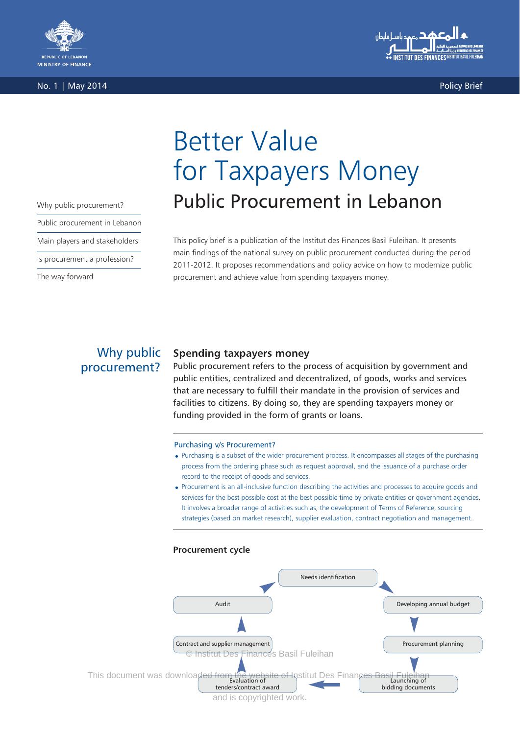

No. 1 | May 2014 Policy Brief



for Taxpayers Money Why public procurement? **Public Procurement in Lebanon** 

Better Value

This policy brief is a publication of the Institut des Finances Basil Fuleihan. It presents main findings of the national survey on public procurement conducted during the period 2011-2012. It proposes recommendations and policy advice on how to modernize public procurement and achieve value from spending taxpayers money.

Public procurement in Lebanon

Main players and stakeholders

Is procurement a profession?

The way forward

# Why public procurement?

## **Spending taxpayers money**

Public procurement refers to the process of acquisition by government and public entities, centralized and decentralized, of goods, works and services that are necessary to fulfill their mandate in the provision of services and facilities to citizens. By doing so, they are spending taxpayers money or funding provided in the form of grants or loans.

#### Purchasing v/s Procurement?

- Purchasing is a subset of the wider procurement process. It encompasses all stages of the purchasing process from the ordering phase such as request approval, and the issuance of a purchase order record to the receipt of goods and services.
- Procurement is an all-inclusive function describing the activities and processes to acquire goods and services for the best possible cost at the best possible time by private entities or government agencies. It involves a broader range of activities such as, the development of Terms of Reference, sourcing strategies (based on market research), supplier evaluation, contract negotiation and management.

### **Procurement cycle**

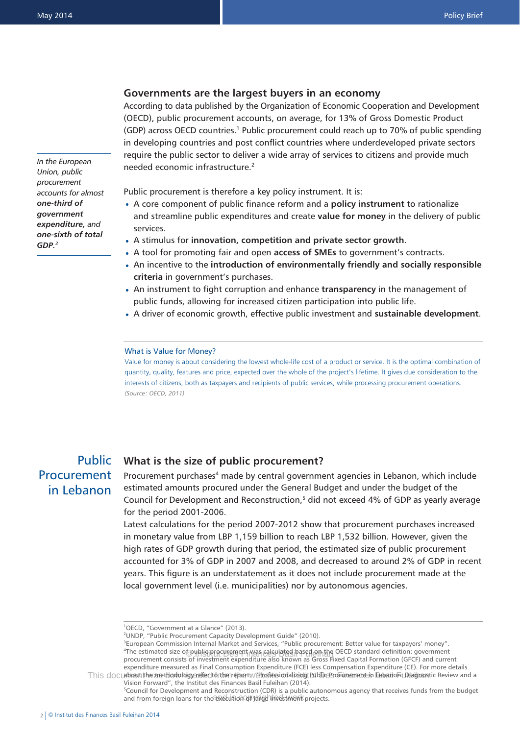### **Governments are the largest buyers in an economy**

According to data published by the Organization of Economic Cooperation and Development (OECD), public procurement accounts, on average, for 13% of Gross Domestic Product (GDP) across OECD countries.1 Public procurement could reach up to 70% of public spending in developing countries and post conflict countries where underdeveloped private sectors require the public sector to deliver a wide array of services to citizens and provide much needed economic infrastructure.2

*In the European Union, public procurement accounts for almost one-third of government expenditure, and one-sixth of total GDP.<sup>3</sup>*

Public procurement is therefore a key policy instrument. It is:

- A core component of public finance reform and a **policy instrument** to rationalize and streamline public expenditures and create **value for money** in the delivery of public services.
- A stimulus for **innovation, competition and private sector growth**. •
- A tool for promoting fair and open **access of SMEs** to government's contracts. •
- An incentive to the **introduction of environmentally friendly and socially responsible criteria** in government's purchases.
- An instrument to fight corruption and enhance **transparency** in the management of public funds, allowing for increased citizen participation into public life.
- A driver of economic growth, effective public investment and **sustainable development**. •

#### What is Value for Money?

Value for money is about considering the lowest whole-life cost of a product or service. It is the optimal combination of quantity, quality, features and price, expected over the whole of the project's lifetime. It gives due consideration to the interests of citizens, both as taxpayers and recipients of public services, while processing procurement operations. *(Source: OECD, 2011)*

# Public **Procurement** in Lebanon

### **What is the size of public procurement?**

Procurement purchases<sup>4</sup> made by central government agencies in Lebanon, which include estimated amounts procured under the General Budget and under the budget of the Council for Development and Reconstruction,<sup>5</sup> did not exceed 4% of GDP as yearly average for the period 2001-2006.

Latest calculations for the period 2007-2012 show that procurement purchases increased in monetary value from LBP 1,159 billion to reach LBP 1,532 billion. However, given the high rates of GDP growth during that period, the estimated size of public procurement accounted for 3% of GDP in 2007 and 2008, and decreased to around 2% of GDP in recent years. This figure is an understatement as it does not include procurement made at the local government level (i.e. municipalities) nor by autonomous agencies.

<sup>1</sup> OECD, "Government at a Glance" (2013).

<sup>&</sup>lt;sup>2</sup>UNDP, "Public Procurement Capacity Development Guide" (2010).

<sup>&</sup>lt;sup>3</sup>European Commission Internal Market and Services, "Public procurement: Better value for taxpayers' money". The estimated size of public procurement was calculated based on the OECD standard definition: government procurement consists of investment expenditure also known as Gross Fixed Capital Formation (GFCF) and current expenditure measured as Final Consumption Expenditure (FCE) less Compensation Expenditure (CE). For more details

This documbent the methodology refer to the report: // Profession alizing Public Procurement in Eebanon: Diagnostic Review and a Vision Forward", the Institut des Finances Basil Fuleihan (2014). 5 Council for Development and Reconstruction (CDR) is a public autonomous agency that receives funds from the budget

and from foreign loans for the execution of large linestiment projects.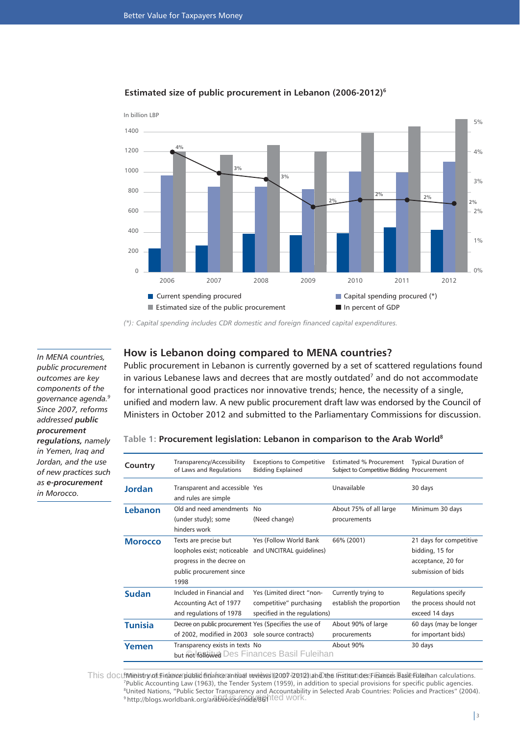

## **Estimated size of public procurement in Lebanon (2006-2012)6**

*(\*): Capital spending includes CDR domestic and foreign financed capital expenditures.*

*In MENA countries, public procurement outcomes are key components of the governance agenda.9 Since 2007, reforms addressed public procurement regulations, namely in Yemen, Iraq and Jordan, and the use of new practices such as e-procurement in Morocco.*

## **How is Lebanon doing compared to MENA countries?**

Public procurement in Lebanon is currently governed by a set of scattered regulations found in various Lebanese laws and decrees that are mostly outdated<sup>7</sup> and do not accommodate for international good practices nor innovative trends; hence, the necessity of a single, unified and modern law. A new public procurement draft law was endorsed by the Council of Ministers in October 2012 and submitted to the Parliamentary Commissions for discussion.

## **Table 1: Procurement legislation: Lebanon in comparison to the Arab World8**

| Country        | Transparency/Accessibility<br>of Laws and Regulations                                                                 | <b>Exceptions to Competitive</b><br><b>Bidding Explained</b>                          | <b>Estimated % Procurement</b><br>Subject to Competitive Bidding Procurement | <b>Typical Duration of</b>                                                             |
|----------------|-----------------------------------------------------------------------------------------------------------------------|---------------------------------------------------------------------------------------|------------------------------------------------------------------------------|----------------------------------------------------------------------------------------|
| <b>Jordan</b>  | Transparent and accessible Yes<br>and rules are simple                                                                |                                                                                       | Unavailable                                                                  | 30 days                                                                                |
| Lebanon        | Old and need amendments<br>(under study); some<br>hinders work                                                        | No<br>(Need change)                                                                   | About 75% of all large<br>procurements                                       | Minimum 30 days                                                                        |
| <b>Morocco</b> | Texts are precise but<br>loopholes exist; noticeable<br>progress in the decree on<br>public procurement since<br>1998 | Yes (Follow World Bank)<br>and UNCITRAL quidelines)                                   | 66% (2001)                                                                   | 21 days for competitive<br>bidding, 15 for<br>acceptance, 20 for<br>submission of bids |
| <b>Sudan</b>   | Included in Financial and<br>Accounting Act of 1977<br>and regulations of 1978                                        | Yes (Limited direct "non-<br>competitive" purchasing<br>specified in the regulations) | Currently trying to<br>establish the proportion                              | Regulations specify<br>the process should not<br>exceed 14 days                        |
| <b>Tunisia</b> | Decree on public procurement Yes (Specifies the use of<br>of 2002, modified in 2003 sole source contracts)            |                                                                                       | About 90% of large<br>procurements                                           | 60 days (may be longer<br>for important bids)                                          |
| Yemen          | Transparency exists in texts No                                                                                       | but Rot Rotto Des Finances Basil Fuleihan                                             | About 90%                                                                    | 30 days                                                                                |

This documunistry of Finance plablid finance annual reviews (2007-12012) and the Institut des Finances Basil Fuleihan calculations. 7 Public Accounting Law (1963), the Tender System (1959), in addition to special provisions for specific public agencies. 8 United Nations, "Public Sector Transparency and Accountability in Selected Arab Countries: Policies and Practices" (2004). http://blogs.worldbank.org/arabvoices/node/86/hted work.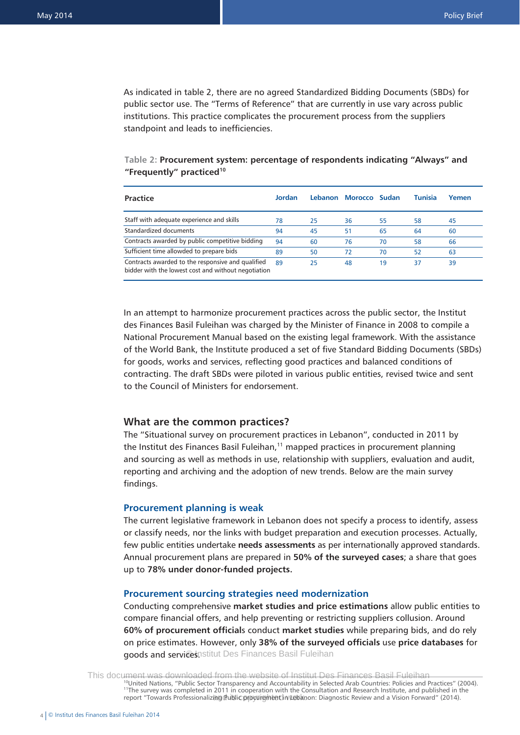As indicated in table 2, there are no agreed Standardized Bidding Documents (SBDs) for public sector use. The "Terms of Reference" that are currently in use vary across public institutions. This practice complicates the procurement process from the suppliers standpoint and leads to inefficiencies.

## **Table 2: Procurement system: percentage of respondents indicating "Always" and "Frequently" practiced10**

| <b>Practice</b>                                                                                          | Jordan |    | Lebanon Morocco Sudan |    | <b>Tunisia</b> | Yemen |
|----------------------------------------------------------------------------------------------------------|--------|----|-----------------------|----|----------------|-------|
| Staff with adequate experience and skills                                                                | 78     | 25 | 36                    | 55 | 58             | 45    |
| Standardized documents                                                                                   | 94     | 45 | 51                    | 65 | 64             | 60    |
| Contracts awarded by public competitive bidding                                                          | 94     | 60 | 76                    | 70 | 58             | 66    |
| Sufficient time allowded to prepare bids                                                                 | 89     | 50 | 72                    | 70 | 52             | 63    |
| Contracts awarded to the responsive and qualified<br>bidder with the lowest cost and without negotiation | 89     | 25 | 48                    | 19 | 37             | 39    |

In an attempt to harmonize procurement practices across the public sector, the Institut des Finances Basil Fuleihan was charged by the Minister of Finance in 2008 to compile a National Procurement Manual based on the existing legal framework. With the assistance of the World Bank, the Institute produced a set of five Standard Bidding Documents (SBDs) for goods, works and services, reflecting good practices and balanced conditions of contracting. The draft SBDs were piloted in various public entities, revised twice and sent to the Council of Ministers for endorsement.

### **What are the common practices?**

The "Situational survey on procurement practices in Lebanon", conducted in 2011 by the Institut des Finances Basil Fuleihan,<sup>11</sup> mapped practices in procurement planning and sourcing as well as methods in use, relationship with suppliers, evaluation and audit, reporting and archiving and the adoption of new trends. Below are the main survey findings.

#### **Procurement planning is weak**

The current legislative framework in Lebanon does not specify a process to identify, assess or classify needs, nor the links with budget preparation and execution processes. Actually, few public entities undertake **needs assessments** as per internationally approved standards. Annual procurement plans are prepared in **50% of the surveyed cases**; a share that goes up to **78% under donor-funded projects.**

### **Procurement sourcing strategies need modernization**

Conducting comprehensive **market studies and price estimations** allow public entities to compare financial offers, and help preventing or restricting suppliers collusion. Around **60% of procurement official**s conduct **market studies** while preparing bids, and do rely on price estimates. However, only **38% of the surveyed officials** use **price databases** for goods and servicesnstitut Des Finances Basil Fuleihan

10United Nations, "Public Sector Transparency and Accountability in Selected Arab Countries: Policies and Practices" (2004). <sup>11</sup>The survey was completed in 2011 in cooperation with the Consultation and Research Institute, and published in the report "Towards Professionalizing (Public procurem bettin/Lebanon: Diagnostic Review and a Vision Forward" (2014). This document was downloaded from the website of Institut Des Finances Basil Fuleihan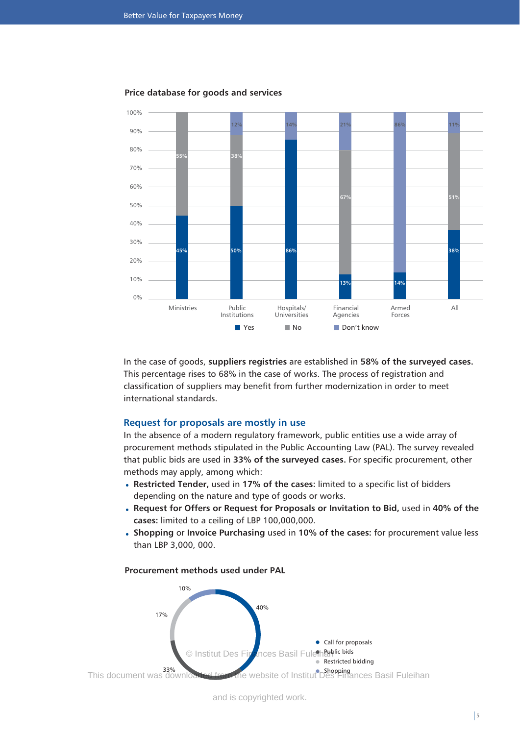

#### **Price database for goods and services**

In the case of goods, **suppliers registries** are established in **58% of the surveyed cases.** This percentage rises to 68% in the case of works. The process of registration and classification of suppliers may benefit from further modernization in order to meet international standards.

#### **Request for proposals are mostly in use**

In the absence of a modern regulatory framework, public entities use a wide array of procurement methods stipulated in the Public Accounting Law (PAL). The survey revealed that public bids are used in **33% of the surveyed cases.** For specific procurement, other methods may apply, among which:

- **Restricted Tender,** used in **17% of the cases:** limited to a specific list of bidders depending on the nature and type of goods or works.
- **Request for Offers or Request for Proposals or Invitation to Bid,** used in **40% of the cases:** limited to a ceiling of LBP 100,000,000.
- **Shopping** or **Invoice Purchasing** used in **10% of the cases:** for procurement value less than LBP 3,000, 000.

## **Procurement methods used under PAL**

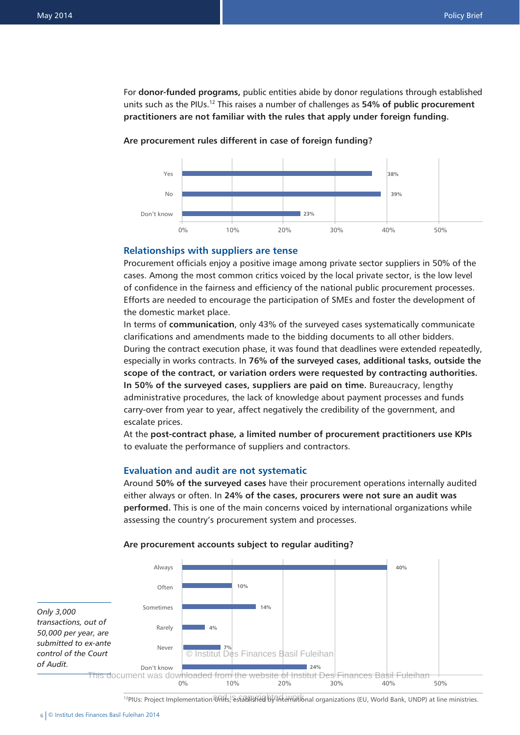For **donor-funded programs,** public entities abide by donor regulations through established units such as the PIUs.12 This raises a number of challenges as **54% of public procurement practitioners are not familiar with the rules that apply under foreign funding.**



#### **Are procurement rules different in case of foreign funding?**

#### **Relationships with suppliers are tense**

Procurement officials enjoy a positive image among private sector suppliers in 50% of the cases. Among the most common critics voiced by the local private sector, is the low level of confidence in the fairness and efficiency of the national public procurement processes. Efforts are needed to encourage the participation of SMEs and foster the development of the domestic market place.

In terms of **communication**, only 43% of the surveyed cases systematically communicate clarifications and amendments made to the bidding documents to all other bidders. During the contract execution phase, it was found that deadlines were extended repeatedly, especially in works contracts. In **76% of the surveyed cases, additional tasks, outside the scope of the contract, or variation orders were requested by contracting authorities. In 50% of the surveyed cases, suppliers are paid on time.** Bureaucracy, lengthy administrative procedures, the lack of knowledge about payment processes and funds carry-over from year to year, affect negatively the credibility of the government, and escalate prices.

At the **post-contract phase, a limited number of procurement practitioners use KPIs** to evaluate the performance of suppliers and contractors.

#### **Evaluation and audit are not systematic**

Around **50% of the surveyed cases** have their procurement operations internally audited either always or often. In **24% of the cases, procurers were not sure an audit was performed.** This is one of the main concerns voiced by international organizations while assessing the country's procurement system and processes.



#### **Are procurement accounts subject to regular auditing?**

<sup>12</sup>PIUs: Project Implementation Units, established by international organizations (EU, World Bank, UNDP) at line ministries.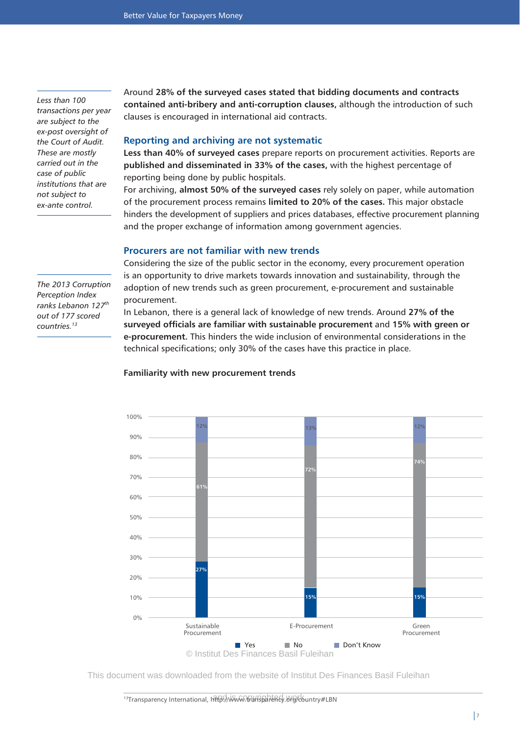*Less than 100 transactions per year are subject to the ex-post oversight of the Court of Audit. These are mostly carried out in the case of public institutions that are not subject to ex-ante control.*

*The 2013 Corruption Perception Index ranks Lebanon 127th out of 177 scored countries.13*

Around **28% of the surveyed cases stated that bidding documents and contracts contained anti-bribery and anti-corruption clauses,** although the introduction of such clauses is encouraged in international aid contracts.

## **Reporting and archiving are not systematic**

**Less than 40% of surveyed cases** prepare reports on procurement activities. Reports are **published and disseminated in 33% of the cases,** with the highest percentage of reporting being done by public hospitals.

For archiving, **almost 50% of the surveyed cases** rely solely on paper, while automation of the procurement process remains **limited to 20% of the cases.** This major obstacle hinders the development of suppliers and prices databases, effective procurement planning and the proper exchange of information among government agencies.

## **Procurers are not familiar with new trends**

Considering the size of the public sector in the economy, every procurement operation is an opportunity to drive markets towards innovation and sustainability, through the adoption of new trends such as green procurement, e-procurement and sustainable procurement.

In Lebanon, there is a general lack of knowledge of new trends. Around **27% of the surveyed officials are familiar with sustainable procurement** and **15% with green or e-procurement.** This hinders the wide inclusion of environmental considerations in the technical specifications; only 30% of the cases have this practice in place.



#### **Familiarity with new procurement trends**

This document was downloaded from the website of Institut Des Finances Basil Fuleihan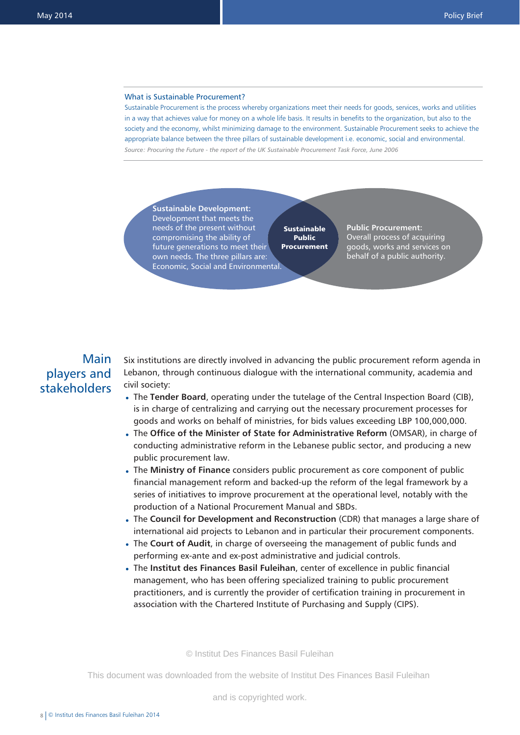#### What is Sustainable Procurement?

Sustainable Procurement is the process whereby organizations meet their needs for goods, services, works and utilities in a way that achieves value for money on a whole life basis. It results in benefits to the organization, but also to the society and the economy, whilst minimizing damage to the environment. Sustainable Procurement seeks to achieve the appropriate balance between the three pillars of sustainable development i.e. economic, social and environmental. *Source: Procuring the Future - the report of the UK Sustainable Procurement Task Force, June 2006*

**Sustainable Development:** Development that meets the needs of the present without compromising the ability of future generations to meet their own needs. The three pillars are: Economic, Social and Environmental.

**Sustainable** Public Procurement **Public Procurement:** Overall process of acquiring goods, works and services on behalf of a public authority.

# Main players and stakeholders

Six institutions are directly involved in advancing the public procurement reform agenda in Lebanon, through continuous dialogue with the international community, academia and civil society:

- The **Tender Board**, operating under the tutelage of the Central Inspection Board (CIB), is in charge of centralizing and carrying out the necessary procurement processes for goods and works on behalf of ministries, for bids values exceeding LBP 100,000,000.
- The **Office of the Minister of State for Administrative Reform** (OMSAR), in charge of conducting administrative reform in the Lebanese public sector, and producing a new public procurement law.
- The **Ministry of Finance** considers public procurement as core component of public financial management reform and backed-up the reform of the legal framework by a series of initiatives to improve procurement at the operational level, notably with the production of a National Procurement Manual and SBDs.
- The **Council for Development and Reconstruction** (CDR) that manages a large share of international aid projects to Lebanon and in particular their procurement components.
- The **Court of Audit**, in charge of overseeing the management of public funds and performing ex-ante and ex-post administrative and judicial controls.
- The **Institut des Finances Basil Fuleihan**, center of excellence in public financial management, who has been offering specialized training to public procurement practitioners, and is currently the provider of certification training in procurement in association with the Chartered Institute of Purchasing and Supply (CIPS).

© Institut Des Finances Basil Fuleihan

This document was downloaded from the website of Institut Des Finances Basil Fuleihan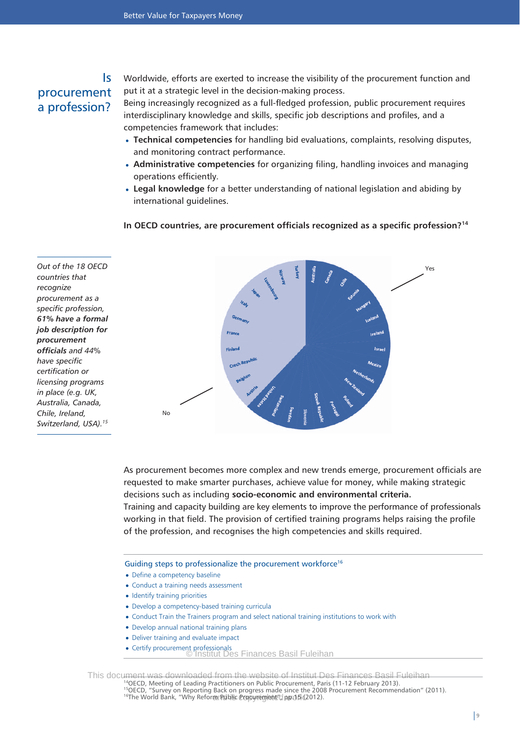## Is procurement a profession?

Worldwide, efforts are exerted to increase the visibility of the procurement function and put it at a strategic level in the decision-making process. Being increasingly recognized as a full-fledged profession, public procurement requires interdisciplinary knowledge and skills, specific job descriptions and profiles, and a

competencies framework that includes:

- **Technical competencies** for handling bid evaluations, complaints, resolving disputes, and monitoring contract performance.
- **Administrative competencies** for organizing filing, handling invoices and managing operations efficiently.
- **Legal knowledge** for a better understanding of national legislation and abiding by international guidelines.

#### **In OECD countries, are procurement officials recognized as a specific profession?14**

*Out of the 18 OECD countries that recognize procurement as a specific profession, 61% have a formal job description for procurement officials and 44% have specific certification or licensing programs in place (e.g. UK, Australia, Canada, Chile, Ireland, Switzerland, USA).15*



As procurement becomes more complex and new trends emerge, procurement officials are requested to make smarter purchases, achieve value for money, while making strategic decisions such as including **socio-economic and environmental criteria.** Training and capacity building are key elements to improve the performance of professionals working in that field. The provision of certified training programs helps raising the profile of the profession, and recognises the high competencies and skills required.

Guiding steps to professionalize the procurement workforce<sup>16</sup>

- Define a competency baseline
- Conduct a training needs assessment
- Identify training priorities
- Develop a competency-based training curricula •
- Conduct Train the Trainers program and select national training institutions to work with
- Develop annual national training plans
- Deliver training and evaluate impact
- Certify procurement professionals © Institut Des Finances Basil Fuleihan

This document was downloaded from the website of Institut Des Finances Basil Fuleihan

All SECD, Meeting of Leading Practitioners on Public Procurement, Paris (11-12 February 2013).<br><sup>15</sup>OECD, "Survey on Reporting Back on progress made since the 2008 Procurement Recommendation" (2011). <sup>16</sup>The World Bank, "Why Reform Public Propyreglent" pp 0 B (2012).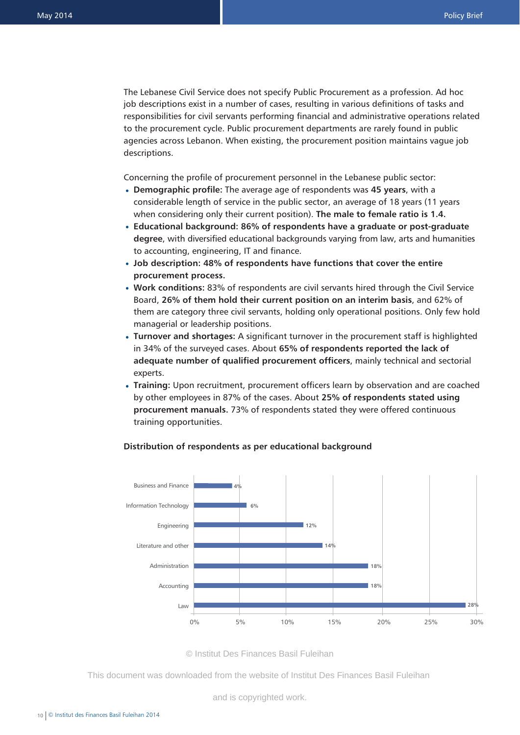The Lebanese Civil Service does not specify Public Procurement as a profession. Ad hoc job descriptions exist in a number of cases, resulting in various definitions of tasks and responsibilities for civil servants performing financial and administrative operations related to the procurement cycle. Public procurement departments are rarely found in public agencies across Lebanon. When existing, the procurement position maintains vague job descriptions.

Concerning the profile of procurement personnel in the Lebanese public sector:

- **Demographic profile:** The average age of respondents was **45 years**, with a considerable length of service in the public sector, an average of 18 years (11 years when considering only their current position). **The male to female ratio is 1.4.**
- **Educational background: 86% of respondents have a graduate or post-graduate degree**, with diversified educational backgrounds varying from law, arts and humanities to accounting, engineering, IT and finance.
- **Job description: 48% of respondents have functions that cover the entire procurement process.**
- **Work conditions:** 83% of respondents are civil servants hired through the Civil Service Board, **26% of them hold their current position on an interim basis**, and 62% of them are category three civil servants, holding only operational positions. Only few hold managerial or leadership positions.
- **Turnover and shortages:** A significant turnover in the procurement staff is highlighted in 34% of the surveyed cases. About **65% of respondents reported the lack of adequate number of qualified procurement officers**, mainly technical and sectorial experts.
- **Training:** Upon recruitment, procurement officers learn by observation and are coached by other employees in 87% of the cases. About **25% of respondents stated using procurement manuals.** 73% of respondents stated they were offered continuous training opportunities.

#### **Distribution of respondents as per educational background**



© Institut Des Finances Basil Fuleihan

This document was downloaded from the website of Institut Des Finances Basil Fuleihan

and is copyrighted work.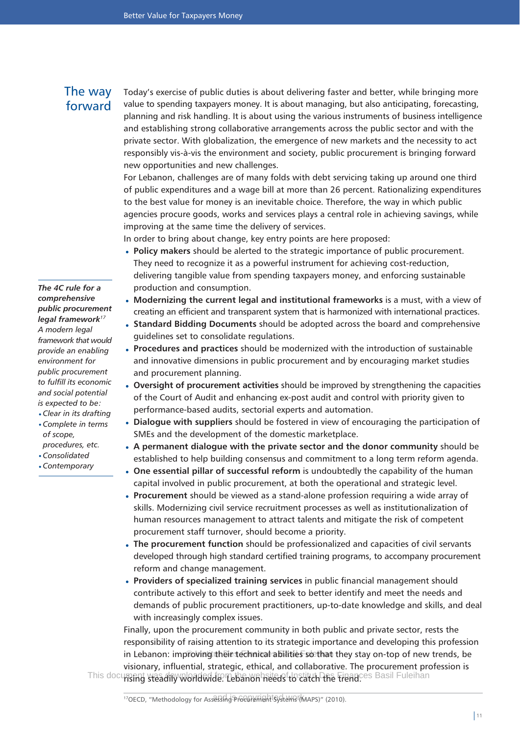## The way forward

Today's exercise of public duties is about delivering faster and better, while bringing more value to spending taxpayers money. It is about managing, but also anticipating, forecasting, planning and risk handling. It is about using the various instruments of business intelligence and establishing strong collaborative arrangements across the public sector and with the private sector. With globalization, the emergence of new markets and the necessity to act responsibly vis-à-vis the environment and society, public procurement is bringing forward new opportunities and new challenges.

For Lebanon, challenges are of many folds with debt servicing taking up around one third of public expenditures and a wage bill at more than 26 percent. Rationalizing expenditures to the best value for money is an inevitable choice. Therefore, the way in which public agencies procure goods, works and services plays a central role in achieving savings, while improving at the same time the delivery of services.

In order to bring about change, key entry points are here proposed:

- **Policy makers** should be alerted to the strategic importance of public procurement. They need to recognize it as a powerful instrument for achieving cost-reduction, delivering tangible value from spending taxpayers money, and enforcing sustainable production and consumption.
- **Modernizing the current legal and institutional frameworks** is a must, with a view of creating an efficient and transparent system that is harmonized with international practices.
- **Standard Bidding Documents** should be adopted across the board and comprehensive guidelines set to consolidate regulations.
- **Procedures and practices** should be modernized with the introduction of sustainable and innovative dimensions in public procurement and by encouraging market studies and procurement planning.
- **Oversight of procurement activities** should be improved by strengthening the capacities of the Court of Audit and enhancing ex-post audit and control with priority given to performance-based audits, sectorial experts and automation.
- **Dialogue with suppliers** should be fostered in view of encouraging the participation of SMEs and the development of the domestic marketplace.
- **A permanent dialogue with the private sector and the donor community** should be established to help building consensus and commitment to a long term reform agenda.
- **One essential pillar of successful reform** is undoubtedly the capability of the human capital involved in public procurement, at both the operational and strategic level.
- **Procurement** should be viewed as a stand-alone profession requiring a wide array of skills. Modernizing civil service recruitment processes as well as institutionalization of human resources management to attract talents and mitigate the risk of competent procurement staff turnover, should become a priority.
- **The procurement function** should be professionalized and capacities of civil servants developed through high standard certified training programs, to accompany procurement reform and change management.
- **Providers of specialized training services** in public financial management should contribute actively to this effort and seek to better identify and meet the needs and demands of public procurement practitioners, up-to-date knowledge and skills, and deal with increasingly complex issues.

Finally, upon the procurement community in both public and private sector, rests the responsibility of raising attention to its strategic importance and developing this profession in Lebanon: imptoving their technical abilities so that they stay on-top of new trends, be visionary, influential, strategic, ethical, and collaborative. The procurement profession is This document was diny worldwide. Lebanon heeds to catch the trend.ces Basil Fuleihan

*The 4C rule for a comprehensive public procurement legal framework<sup>17</sup> A modern legal framework that would provide an enabling environment for public procurement to fulfill its economic and social potential is expected to be:* 

- *Clear in its drafting Complete in terms* • *of scope,*
- *procedures, etc.*
- *Consolidated Contemporary* •

<sup>17</sup>OECD, "Methodology for Assessing Procurement Systems (MAPS)" (2010).